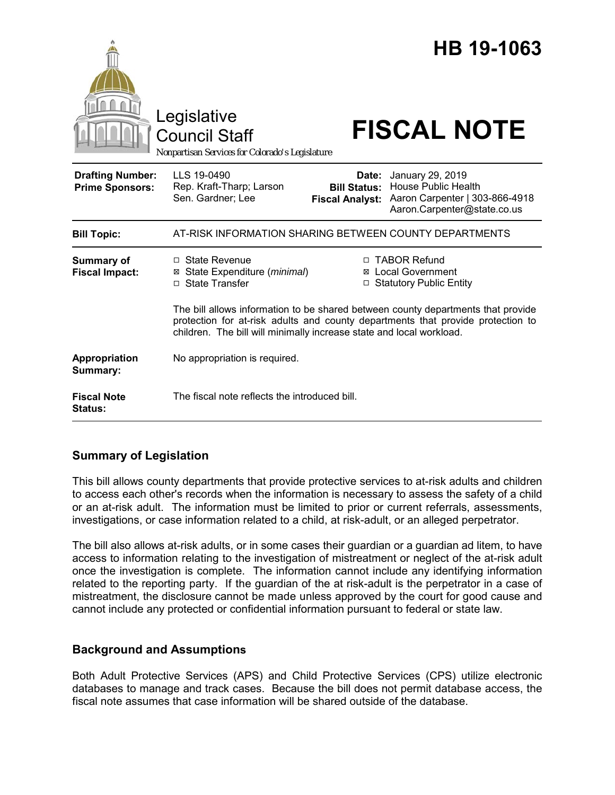| HB 19-1063<br>Legislative<br><b>FISCAL NOTE</b><br><b>Council Staff</b> |                                                                                                                                                                                                                                             |                                                        |                                                                                                                 |  |  |
|-------------------------------------------------------------------------|---------------------------------------------------------------------------------------------------------------------------------------------------------------------------------------------------------------------------------------------|--------------------------------------------------------|-----------------------------------------------------------------------------------------------------------------|--|--|
| Nonpartisan Services for Colorado's Legislature                         |                                                                                                                                                                                                                                             |                                                        |                                                                                                                 |  |  |
| <b>Drafting Number:</b><br><b>Prime Sponsors:</b>                       | LLS 19-0490<br>Rep. Kraft-Tharp; Larson<br>Sen. Gardner; Lee                                                                                                                                                                                | Date:<br><b>Bill Status:</b><br><b>Fiscal Analyst:</b> | January 29, 2019<br><b>House Public Health</b><br>Aaron Carpenter   303-866-4918<br>Aaron.Carpenter@state.co.us |  |  |
| <b>Bill Topic:</b>                                                      | AT-RISK INFORMATION SHARING BETWEEN COUNTY DEPARTMENTS                                                                                                                                                                                      |                                                        |                                                                                                                 |  |  |
| <b>Summary of</b><br><b>Fiscal Impact:</b>                              | $\Box$ State Revenue<br>State Expenditure (minimal)<br>⊠<br>□ State Transfer                                                                                                                                                                | ⊠<br>□                                                 | □ TABOR Refund<br><b>Local Government</b><br><b>Statutory Public Entity</b>                                     |  |  |
|                                                                         | The bill allows information to be shared between county departments that provide<br>protection for at-risk adults and county departments that provide protection to<br>children. The bill will minimally increase state and local workload. |                                                        |                                                                                                                 |  |  |
| Appropriation<br>Summary:                                               | No appropriation is required.                                                                                                                                                                                                               |                                                        |                                                                                                                 |  |  |
| <b>Fiscal Note</b><br>Status:                                           | The fiscal note reflects the introduced bill.                                                                                                                                                                                               |                                                        |                                                                                                                 |  |  |

# **Summary of Legislation**

This bill allows county departments that provide protective services to at-risk adults and children to access each other's records when the information is necessary to assess the safety of a child or an at-risk adult. The information must be limited to prior or current referrals, assessments, investigations, or case information related to a child, at risk-adult, or an alleged perpetrator.

The bill also allows at-risk adults, or in some cases their guardian or a guardian ad litem, to have access to information relating to the investigation of mistreatment or neglect of the at-risk adult once the investigation is complete. The information cannot include any identifying information related to the reporting party. If the guardian of the at risk-adult is the perpetrator in a case of mistreatment, the disclosure cannot be made unless approved by the court for good cause and cannot include any protected or confidential information pursuant to federal or state law.

# **Background and Assumptions**

Both Adult Protective Services (APS) and Child Protective Services (CPS) utilize electronic databases to manage and track cases. Because the bill does not permit database access, the fiscal note assumes that case information will be shared outside of the database.